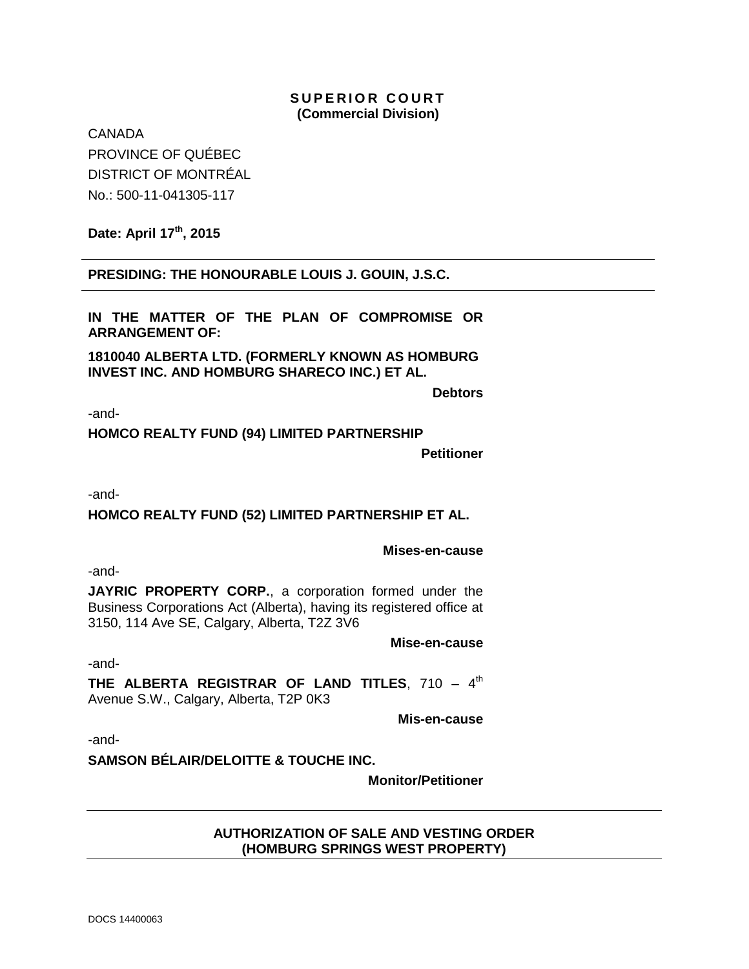## **SUPERIOR COURT (Commercial Division)**

**CANADA** PROVINCE OF QUÉBEC DISTRICT OF MONTRÉAL No.: 500-11-041305-117

**Date: April 17th, 2015**

**PRESIDING: THE HONOURABLE LOUIS J. GOUIN, J.S.C.**

**IN THE MATTER OF THE PLAN OF COMPROMISE OR ARRANGEMENT OF:**

**1810040 ALBERTA LTD. (FORMERLY KNOWN AS HOMBURG INVEST INC. AND HOMBURG SHARECO INC.) ET AL.**

**Debtors**

-and-

**HOMCO REALTY FUND (94) LIMITED PARTNERSHIP**

**Petitioner**

-and-

# **HOMCO REALTY FUND (52) LIMITED PARTNERSHIP ET AL.**

#### **Mises-en-cause**

-and-

**JAYRIC PROPERTY CORP.**, a corporation formed under the Business Corporations Act (Alberta), having its registered office at 3150, 114 Ave SE, Calgary, Alberta, T2Z 3V6

**Mise-en-cause**

-and-

**THE ALBERTA REGISTRAR OF LAND TITLES, 710 - 4th** Avenue S.W., Calgary, Alberta, T2P 0K3

**Mis-en-cause**

-and-

**SAMSON BÉLAIR/DELOITTE & TOUCHE INC.**

**Monitor/Petitioner**

### **AUTHORIZATION OF SALE AND VESTING ORDER (HOMBURG SPRINGS WEST PROPERTY)**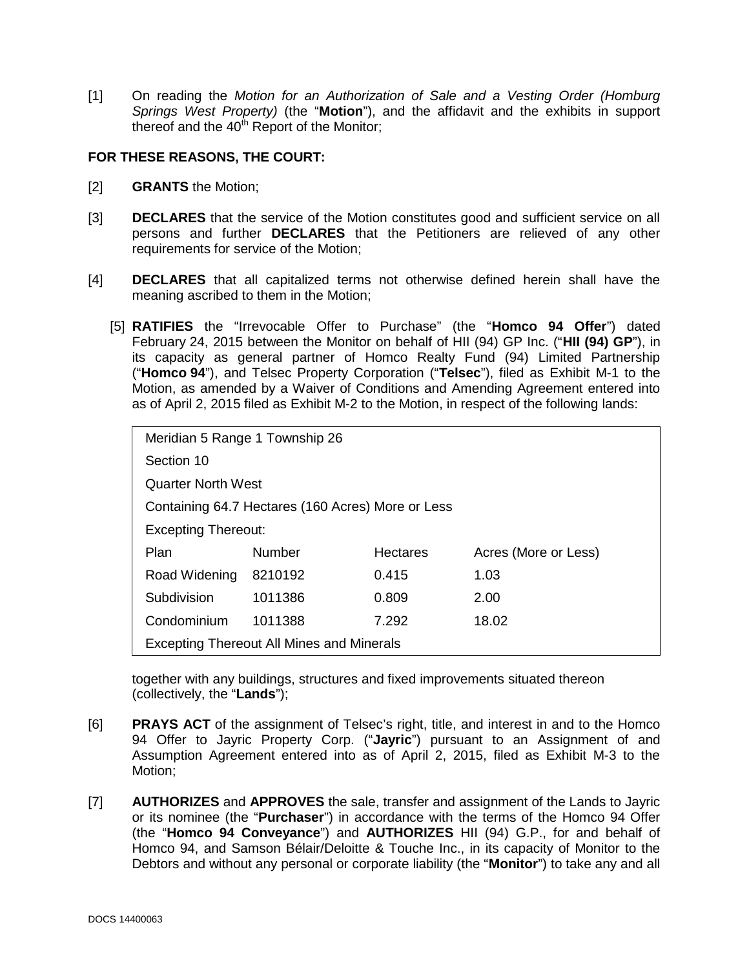[1] On reading the *Motion for an Authorization of Sale and a Vesting Order (Homburg Springs West Property)* (the "**Motion**"), and the affidavit and the exhibits in support thereof and the  $40<sup>th</sup>$  Report of the Monitor;

### **FOR THESE REASONS, THE COURT:**

- [2] **GRANTS** the Motion;
- [3] **DECLARES** that the service of the Motion constitutes good and sufficient service on all persons and further **DECLARES** that the Petitioners are relieved of any other requirements for service of the Motion;
- [4] **DECLARES** that all capitalized terms not otherwise defined herein shall have the meaning ascribed to them in the Motion;
	- [5] **RATIFIES** the "Irrevocable Offer to Purchase" (the "**Homco 94 Offer**") dated February 24, 2015 between the Monitor on behalf of HII (94) GP Inc. ("**HII (94) GP**"), in its capacity as general partner of Homco Realty Fund (94) Limited Partnership ("**Homco 94**"), and Telsec Property Corporation ("**Telsec**"), filed as Exhibit M-1 to the Motion, as amended by a Waiver of Conditions and Amending Agreement entered into as of April 2, 2015 filed as Exhibit M-2 to the Motion, in respect of the following lands:

| Meridian 5 Range 1 Township 26                    |         |                 |                      |
|---------------------------------------------------|---------|-----------------|----------------------|
| Section 10                                        |         |                 |                      |
| <b>Quarter North West</b>                         |         |                 |                      |
| Containing 64.7 Hectares (160 Acres) More or Less |         |                 |                      |
| <b>Excepting Thereout:</b>                        |         |                 |                      |
| Plan                                              | Number  | <b>Hectares</b> | Acres (More or Less) |
| Road Widening                                     | 8210192 | 0.415           | 1.03                 |
| Subdivision                                       | 1011386 | 0.809           | 2.00                 |
| Condominium                                       | 1011388 | 7.292           | 18.02                |
| <b>Excepting Thereout All Mines and Minerals</b>  |         |                 |                      |

together with any buildings, structures and fixed improvements situated thereon (collectively, the "**Lands**");

- [6] **PRAYS ACT** of the assignment of Telsec's right, title, and interest in and to the Homco 94 Offer to Jayric Property Corp. ("**Jayric**") pursuant to an Assignment of and Assumption Agreement entered into as of April 2, 2015, filed as Exhibit M-3 to the Motion;
- [7] **AUTHORIZES** and **APPROVES** the sale, transfer and assignment of the Lands to Jayric or its nominee (the "**Purchaser**") in accordance with the terms of the Homco 94 Offer (the "**Homco 94 Conveyance**") and **AUTHORIZES** HII (94) G.P., for and behalf of Homco 94, and Samson Bélair/Deloitte & Touche Inc., in its capacity of Monitor to the Debtors and without any personal or corporate liability (the "**Monitor**") to take any and all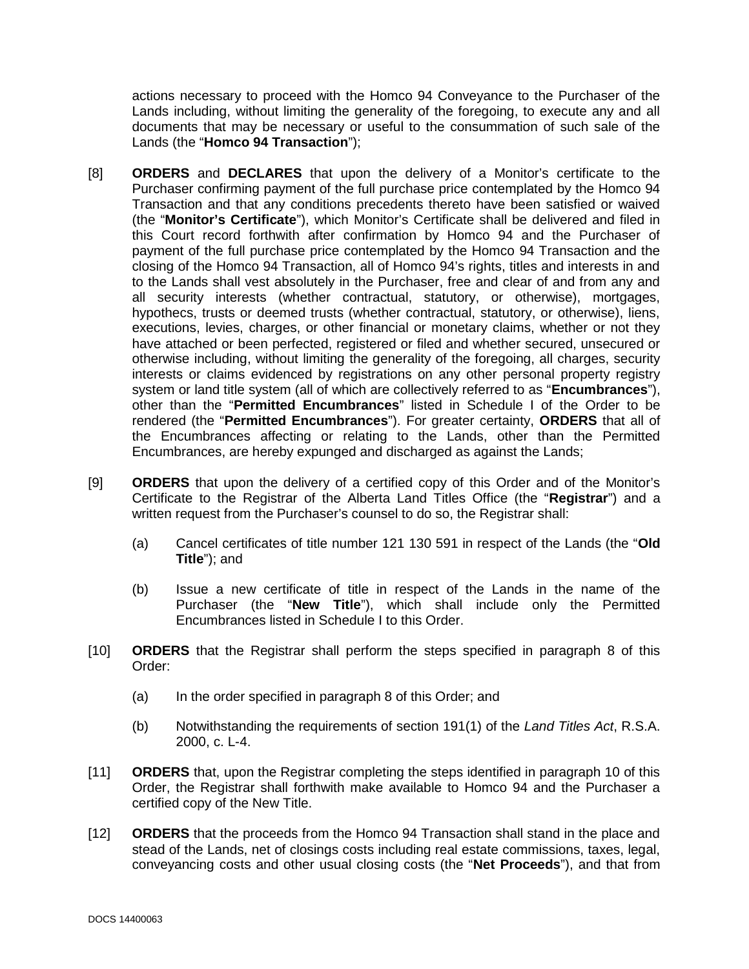actions necessary to proceed with the Homco 94 Conveyance to the Purchaser of the Lands including, without limiting the generality of the foregoing, to execute any and all documents that may be necessary or useful to the consummation of such sale of the Lands (the "**Homco 94 Transaction**");

- [8] **ORDERS** and **DECLARES** that upon the delivery of a Monitor's certificate to the Purchaser confirming payment of the full purchase price contemplated by the Homco 94 Transaction and that any conditions precedents thereto have been satisfied or waived (the "**Monitor's Certificate**"), which Monitor's Certificate shall be delivered and filed in this Court record forthwith after confirmation by Homco 94 and the Purchaser of payment of the full purchase price contemplated by the Homco 94 Transaction and the closing of the Homco 94 Transaction, all of Homco 94's rights, titles and interests in and to the Lands shall vest absolutely in the Purchaser, free and clear of and from any and all security interests (whether contractual, statutory, or otherwise), mortgages, hypothecs, trusts or deemed trusts (whether contractual, statutory, or otherwise), liens, executions, levies, charges, or other financial or monetary claims, whether or not they have attached or been perfected, registered or filed and whether secured, unsecured or otherwise including, without limiting the generality of the foregoing, all charges, security interests or claims evidenced by registrations on any other personal property registry system or land title system (all of which are collectively referred to as "**Encumbrances**"), other than the "**Permitted Encumbrances**" listed in Schedule I of the Order to be rendered (the "**Permitted Encumbrances**"). For greater certainty, **ORDERS** that all of the Encumbrances affecting or relating to the Lands, other than the Permitted Encumbrances, are hereby expunged and discharged as against the Lands;
- [9] **ORDERS** that upon the delivery of a certified copy of this Order and of the Monitor's Certificate to the Registrar of the Alberta Land Titles Office (the "**Registrar**") and a written request from the Purchaser's counsel to do so, the Registrar shall:
	- (a) Cancel certificates of title number 121 130 591 in respect of the Lands (the "**Old Title**"); and
	- (b) Issue a new certificate of title in respect of the Lands in the name of the Purchaser (the "**New Title**"), which shall include only the Permitted Encumbrances listed in Schedule I to this Order.
- [10] **ORDERS** that the Registrar shall perform the steps specified in paragraph 8 of this Order:
	- (a) In the order specified in paragraph 8 of this Order; and
	- (b) Notwithstanding the requirements of section 191(1) of the *Land Titles Act*, R.S.A. 2000, c. L-4.
- [11] **ORDERS** that, upon the Registrar completing the steps identified in paragraph 10 of this Order, the Registrar shall forthwith make available to Homco 94 and the Purchaser a certified copy of the New Title.
- [12] **ORDERS** that the proceeds from the Homco 94 Transaction shall stand in the place and stead of the Lands, net of closings costs including real estate commissions, taxes, legal, conveyancing costs and other usual closing costs (the "**Net Proceeds**"), and that from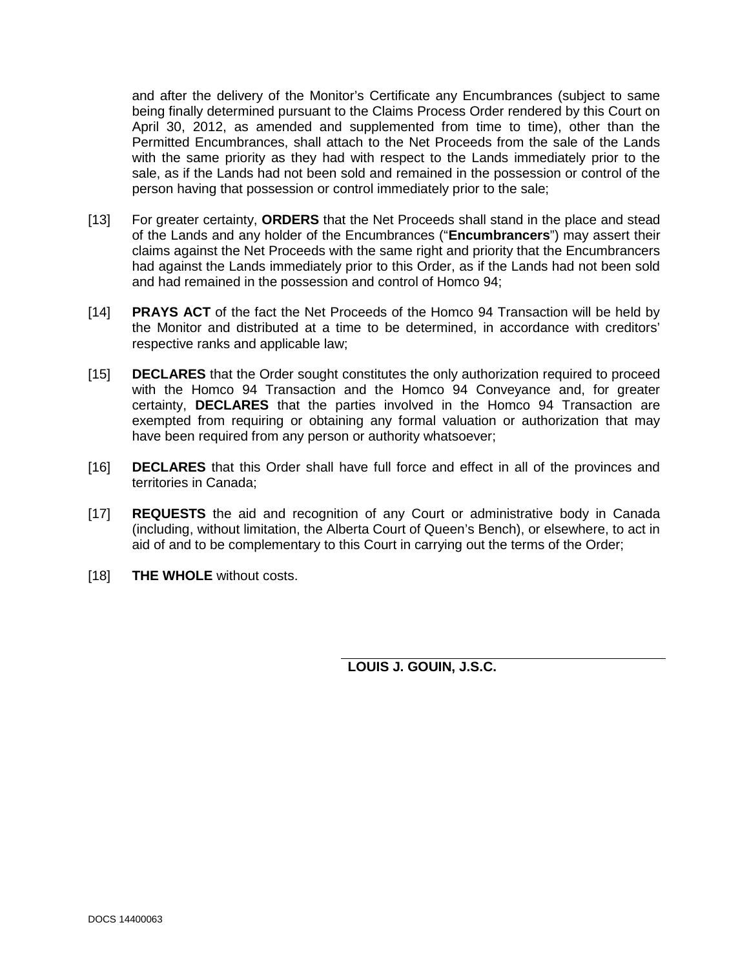and after the delivery of the Monitor's Certificate any Encumbrances (subject to same being finally determined pursuant to the Claims Process Order rendered by this Court on April 30, 2012, as amended and supplemented from time to time), other than the Permitted Encumbrances, shall attach to the Net Proceeds from the sale of the Lands with the same priority as they had with respect to the Lands immediately prior to the sale, as if the Lands had not been sold and remained in the possession or control of the person having that possession or control immediately prior to the sale;

- [13] For greater certainty, **ORDERS** that the Net Proceeds shall stand in the place and stead of the Lands and any holder of the Encumbrances ("**Encumbrancers**") may assert their claims against the Net Proceeds with the same right and priority that the Encumbrancers had against the Lands immediately prior to this Order, as if the Lands had not been sold and had remained in the possession and control of Homco 94;
- [14] **PRAYS ACT** of the fact the Net Proceeds of the Homco 94 Transaction will be held by the Monitor and distributed at a time to be determined, in accordance with creditors' respective ranks and applicable law;
- [15] **DECLARES** that the Order sought constitutes the only authorization required to proceed with the Homco 94 Transaction and the Homco 94 Conveyance and, for greater certainty, **DECLARES** that the parties involved in the Homco 94 Transaction are exempted from requiring or obtaining any formal valuation or authorization that may have been required from any person or authority whatsoever;
- [16] **DECLARES** that this Order shall have full force and effect in all of the provinces and territories in Canada;
- [17] **REQUESTS** the aid and recognition of any Court or administrative body in Canada (including, without limitation, the Alberta Court of Queen's Bench), or elsewhere, to act in aid of and to be complementary to this Court in carrying out the terms of the Order;
- [18] **THE WHOLE** without costs.

**LOUIS J. GOUIN, J.S.C.**